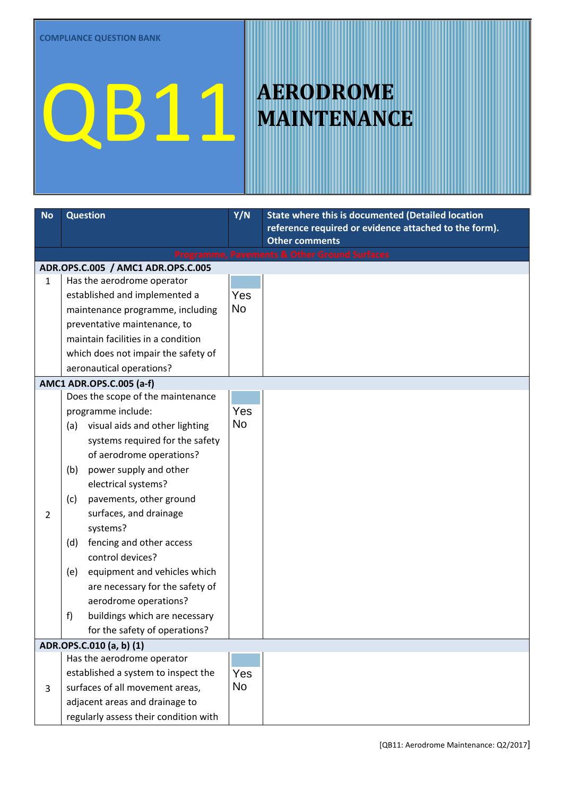| <b>No</b>      |                          | <b>Question</b>                                                         | Y/N       | <b>State where this is documented (Detailed location</b> |  |
|----------------|--------------------------|-------------------------------------------------------------------------|-----------|----------------------------------------------------------|--|
|                |                          |                                                                         |           | reference required or evidence attached to the form).    |  |
|                |                          |                                                                         |           | <b>Other comments</b>                                    |  |
|                |                          | ADR.OPS.C.005 / AMC1 ADR.OPS.C.005                                      |           | <b>Programme, Pavements &amp; Other Ground Surfaces</b>  |  |
| $\mathbf{1}$   |                          | Has the aerodrome operator                                              |           |                                                          |  |
|                |                          | established and implemented a                                           | Yes       |                                                          |  |
|                |                          | maintenance programme, including                                        | <b>No</b> |                                                          |  |
|                |                          | preventative maintenance, to                                            |           |                                                          |  |
|                |                          | maintain facilities in a condition                                      |           |                                                          |  |
|                |                          | which does not impair the safety of                                     |           |                                                          |  |
|                |                          | aeronautical operations?                                                |           |                                                          |  |
|                |                          | AMC1 ADR.OPS.C.005 (a-f)                                                |           |                                                          |  |
|                |                          | Does the scope of the maintenance                                       |           |                                                          |  |
|                |                          | programme include:                                                      | Yes       |                                                          |  |
|                | (a)                      | visual aids and other lighting                                          | <b>No</b> |                                                          |  |
|                |                          | systems required for the safety                                         |           |                                                          |  |
|                |                          | of aerodrome operations?                                                |           |                                                          |  |
|                | (b)                      | power supply and other                                                  |           |                                                          |  |
|                |                          | electrical systems?                                                     |           |                                                          |  |
|                | (c)                      | pavements, other ground                                                 |           |                                                          |  |
| $\overline{2}$ |                          | surfaces, and drainage                                                  |           |                                                          |  |
|                |                          | systems?                                                                |           |                                                          |  |
|                | (d)                      | fencing and other access                                                |           |                                                          |  |
|                |                          | control devices?                                                        |           |                                                          |  |
|                | (e)                      | equipment and vehicles which                                            |           |                                                          |  |
|                |                          | are necessary for the safety of                                         |           |                                                          |  |
|                |                          | aerodrome operations?                                                   |           |                                                          |  |
|                | f)                       | buildings which are necessary                                           |           |                                                          |  |
|                |                          | for the safety of operations?                                           |           |                                                          |  |
|                | ADR.OPS.C.010 (a, b) (1) |                                                                         |           |                                                          |  |
|                |                          | Has the aerodrome operator                                              |           |                                                          |  |
|                |                          | established a system to inspect the                                     | Yes<br>No |                                                          |  |
| 3              |                          | surfaces of all movement areas,                                         |           |                                                          |  |
|                |                          | adjacent areas and drainage to<br>regularly assess their condition with |           |                                                          |  |
|                |                          |                                                                         |           |                                                          |  |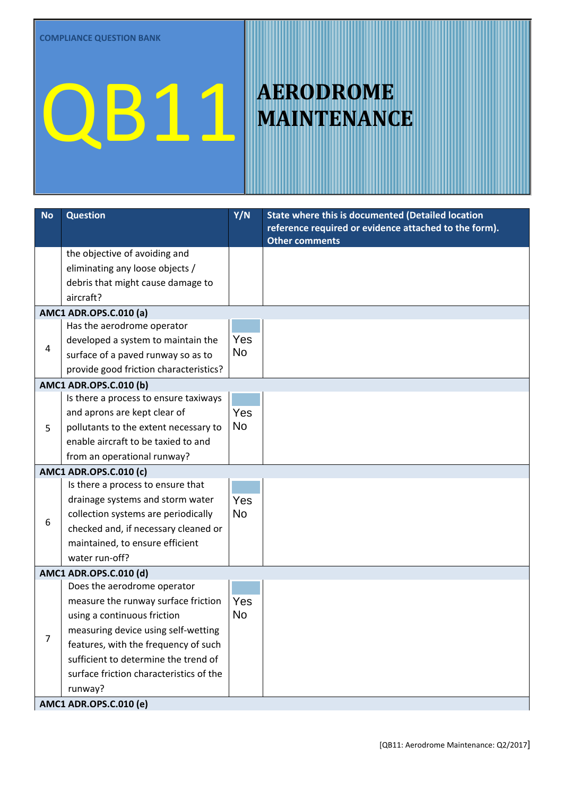| <b>No</b>                     | <b>Question</b>                         | Y/N       | State where this is documented (Detailed location<br>reference required or evidence attached to the form). |  |  |
|-------------------------------|-----------------------------------------|-----------|------------------------------------------------------------------------------------------------------------|--|--|
|                               |                                         |           | <b>Other comments</b>                                                                                      |  |  |
|                               | the objective of avoiding and           |           |                                                                                                            |  |  |
|                               | eliminating any loose objects /         |           |                                                                                                            |  |  |
|                               | debris that might cause damage to       |           |                                                                                                            |  |  |
|                               | aircraft?                               |           |                                                                                                            |  |  |
| <b>AMC1 ADR.OPS.C.010 (a)</b> |                                         |           |                                                                                                            |  |  |
|                               | Has the aerodrome operator              |           |                                                                                                            |  |  |
|                               | developed a system to maintain the      | Yes       |                                                                                                            |  |  |
| 4                             | surface of a paved runway so as to      | <b>No</b> |                                                                                                            |  |  |
|                               | provide good friction characteristics?  |           |                                                                                                            |  |  |
|                               | <b>AMC1 ADR.OPS.C.010 (b)</b>           |           |                                                                                                            |  |  |
|                               | Is there a process to ensure taxiways   |           |                                                                                                            |  |  |
|                               | and aprons are kept clear of            | Yes       |                                                                                                            |  |  |
| 5                             | pollutants to the extent necessary to   | <b>No</b> |                                                                                                            |  |  |
|                               | enable aircraft to be taxied to and     |           |                                                                                                            |  |  |
|                               | from an operational runway?             |           |                                                                                                            |  |  |
|                               | AMC1 ADR.OPS.C.010 (c)                  |           |                                                                                                            |  |  |
|                               | Is there a process to ensure that       |           |                                                                                                            |  |  |
|                               | drainage systems and storm water        | Yes       |                                                                                                            |  |  |
|                               | collection systems are periodically     | <b>No</b> |                                                                                                            |  |  |
| 6                             | checked and, if necessary cleaned or    |           |                                                                                                            |  |  |
|                               | maintained, to ensure efficient         |           |                                                                                                            |  |  |
|                               | water run-off?                          |           |                                                                                                            |  |  |
|                               | <b>AMC1 ADR.OPS.C.010 (d)</b>           |           |                                                                                                            |  |  |
|                               | Does the aerodrome operator             |           |                                                                                                            |  |  |
|                               | measure the runway surface friction     | Yes       |                                                                                                            |  |  |
|                               | using a continuous friction             | <b>No</b> |                                                                                                            |  |  |
|                               | measuring device using self-wetting     |           |                                                                                                            |  |  |
| 7                             | features, with the frequency of such    |           |                                                                                                            |  |  |
|                               | sufficient to determine the trend of    |           |                                                                                                            |  |  |
|                               | surface friction characteristics of the |           |                                                                                                            |  |  |
|                               | runway?                                 |           |                                                                                                            |  |  |
|                               | <b>AMC1 ADR.OPS.C.010 (e)</b>           |           |                                                                                                            |  |  |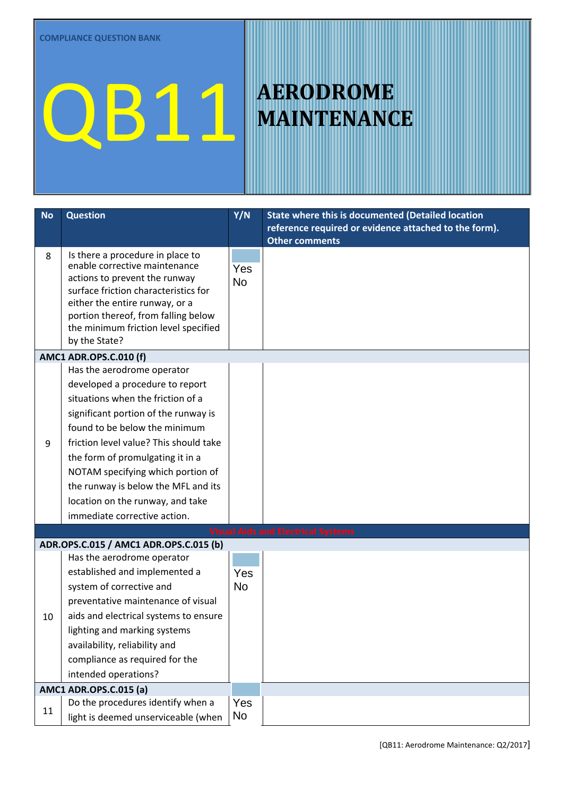| <b>No</b> | <b>Question</b>                                                        | Y/N       | State where this is documented (Detailed location                              |  |  |
|-----------|------------------------------------------------------------------------|-----------|--------------------------------------------------------------------------------|--|--|
|           |                                                                        |           | reference required or evidence attached to the form).<br><b>Other comments</b> |  |  |
| 8         | Is there a procedure in place to                                       |           |                                                                                |  |  |
|           | enable corrective maintenance                                          | Yes       |                                                                                |  |  |
|           | actions to prevent the runway                                          | <b>No</b> |                                                                                |  |  |
|           | surface friction characteristics for<br>either the entire runway, or a |           |                                                                                |  |  |
|           | portion thereof, from falling below                                    |           |                                                                                |  |  |
|           | the minimum friction level specified                                   |           |                                                                                |  |  |
|           | by the State?                                                          |           |                                                                                |  |  |
|           | <b>AMC1 ADR.OPS.C.010 (f)</b>                                          |           |                                                                                |  |  |
|           | Has the aerodrome operator                                             |           |                                                                                |  |  |
|           | developed a procedure to report                                        | Yes       |                                                                                |  |  |
|           | situations when the friction of a                                      | No        |                                                                                |  |  |
|           | significant portion of the runway is                                   |           |                                                                                |  |  |
|           | found to be below the minimum                                          |           |                                                                                |  |  |
| 9         | friction level value? This should take                                 |           |                                                                                |  |  |
|           | the form of promulgating it in a                                       |           |                                                                                |  |  |
|           | NOTAM specifying which portion of                                      |           |                                                                                |  |  |
|           | the runway is below the MFL and its                                    |           |                                                                                |  |  |
|           | location on the runway, and take                                       |           |                                                                                |  |  |
|           | immediate corrective action.                                           |           |                                                                                |  |  |
|           |                                                                        |           | <b>Visual Aids and Electrical Systems</b>                                      |  |  |
|           | ADR.OPS.C.015 / AMC1 ADR.OPS.C.015 (b)<br>Has the aerodrome operator   |           |                                                                                |  |  |
|           | established and implemented a                                          | Yes       |                                                                                |  |  |
|           | system of corrective and                                               | <b>No</b> |                                                                                |  |  |
|           | preventative maintenance of visual                                     |           |                                                                                |  |  |
| 10        | aids and electrical systems to ensure                                  |           |                                                                                |  |  |
|           | lighting and marking systems                                           |           |                                                                                |  |  |
|           | availability, reliability and                                          |           |                                                                                |  |  |
|           | compliance as required for the                                         |           |                                                                                |  |  |
|           | intended operations?                                                   |           |                                                                                |  |  |
|           | <b>AMC1 ADR.OPS.C.015 (a)</b>                                          |           |                                                                                |  |  |
| 11        | Do the procedures identify when a                                      | Yes       |                                                                                |  |  |
|           | light is deemed unserviceable (when                                    | No        |                                                                                |  |  |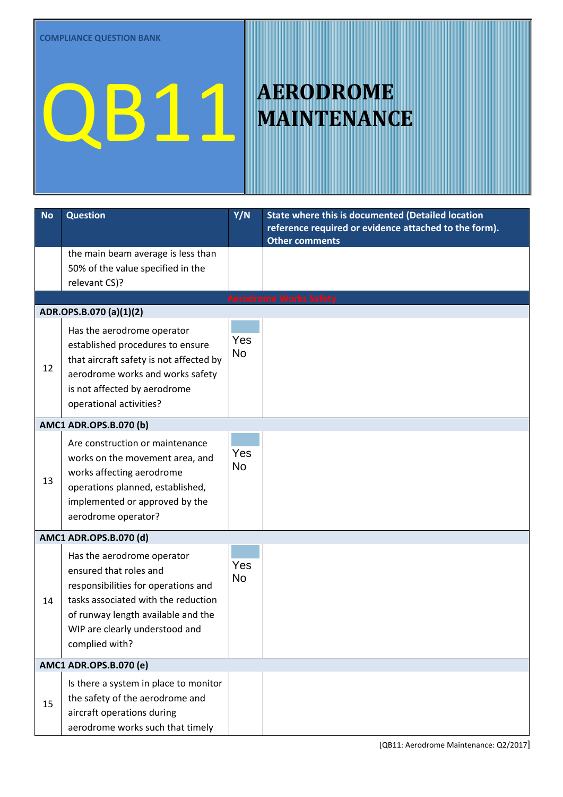| <b>No</b> | <b>Question</b>                                                                                                                                                                                                                     | Y/N              | <b>State where this is documented (Detailed location</b><br>reference required or evidence attached to the form).<br><b>Other comments</b> |
|-----------|-------------------------------------------------------------------------------------------------------------------------------------------------------------------------------------------------------------------------------------|------------------|--------------------------------------------------------------------------------------------------------------------------------------------|
|           | the main beam average is less than<br>50% of the value specified in the<br>relevant CS)?                                                                                                                                            |                  |                                                                                                                                            |
|           |                                                                                                                                                                                                                                     |                  | <b>Aerodrome Works Safety</b>                                                                                                              |
| 12        | ADR.OPS.B.070 (a)(1)(2)<br>Has the aerodrome operator<br>established procedures to ensure<br>that aircraft safety is not affected by<br>aerodrome works and works safety<br>is not affected by aerodrome<br>operational activities? | Yes<br><b>No</b> |                                                                                                                                            |
|           | AMC1 ADR.OPS.B.070 (b)                                                                                                                                                                                                              |                  |                                                                                                                                            |
| 13        | Are construction or maintenance<br>works on the movement area, and<br>works affecting aerodrome<br>operations planned, established,<br>implemented or approved by the<br>aerodrome operator?                                        | Yes<br><b>No</b> |                                                                                                                                            |
|           | AMC1 ADR.OPS.B.070 (d)                                                                                                                                                                                                              |                  |                                                                                                                                            |
| 14        | Has the aerodrome operator<br>ensured that roles and<br>responsibilities for operations and<br>tasks associated with the reduction<br>of runway length available and the<br>WIP are clearly understood and<br>complied with?        | Yes<br><b>No</b> |                                                                                                                                            |
|           | AMC1 ADR.OPS.B.070 (e)                                                                                                                                                                                                              |                  |                                                                                                                                            |
| 15        | Is there a system in place to monitor<br>the safety of the aerodrome and<br>aircraft operations during<br>aerodrome works such that timely                                                                                          | Yes<br>No        |                                                                                                                                            |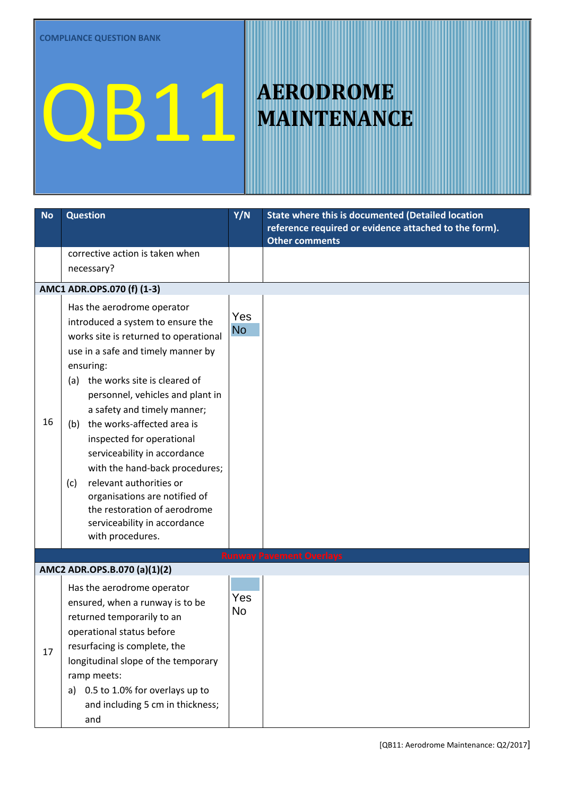| <b>No</b> | <b>Question</b>                                                                                                                                                                                                                                                                                                                                                                                                                                                                                                                                                  | Y/N              | State where this is documented (Detailed location<br>reference required or evidence attached to the form).<br>Other comments |
|-----------|------------------------------------------------------------------------------------------------------------------------------------------------------------------------------------------------------------------------------------------------------------------------------------------------------------------------------------------------------------------------------------------------------------------------------------------------------------------------------------------------------------------------------------------------------------------|------------------|------------------------------------------------------------------------------------------------------------------------------|
|           | corrective action is taken when<br>necessary?                                                                                                                                                                                                                                                                                                                                                                                                                                                                                                                    |                  |                                                                                                                              |
|           | AMC1 ADR.OPS.070 (f) (1-3)                                                                                                                                                                                                                                                                                                                                                                                                                                                                                                                                       |                  |                                                                                                                              |
| 16        | Has the aerodrome operator<br>introduced a system to ensure the<br>works site is returned to operational<br>use in a safe and timely manner by<br>ensuring:<br>the works site is cleared of<br>(a)<br>personnel, vehicles and plant in<br>a safety and timely manner;<br>the works-affected area is<br>(b)<br>inspected for operational<br>serviceability in accordance<br>with the hand-back procedures;<br>relevant authorities or<br>(c)<br>organisations are notified of<br>the restoration of aerodrome<br>serviceability in accordance<br>with procedures. | Yes<br><b>No</b> |                                                                                                                              |
|           |                                                                                                                                                                                                                                                                                                                                                                                                                                                                                                                                                                  |                  | <b>Runway Pavement Overlays</b>                                                                                              |
|           | AMC2 ADR.OPS.B.070 (a)(1)(2)                                                                                                                                                                                                                                                                                                                                                                                                                                                                                                                                     |                  |                                                                                                                              |
| 17        | Has the aerodrome operator<br>ensured, when a runway is to be<br>returned temporarily to an<br>operational status before<br>resurfacing is complete, the<br>longitudinal slope of the temporary<br>ramp meets:<br>a) 0.5 to 1.0% for overlays up to<br>and including 5 cm in thickness;<br>and                                                                                                                                                                                                                                                                   |                  |                                                                                                                              |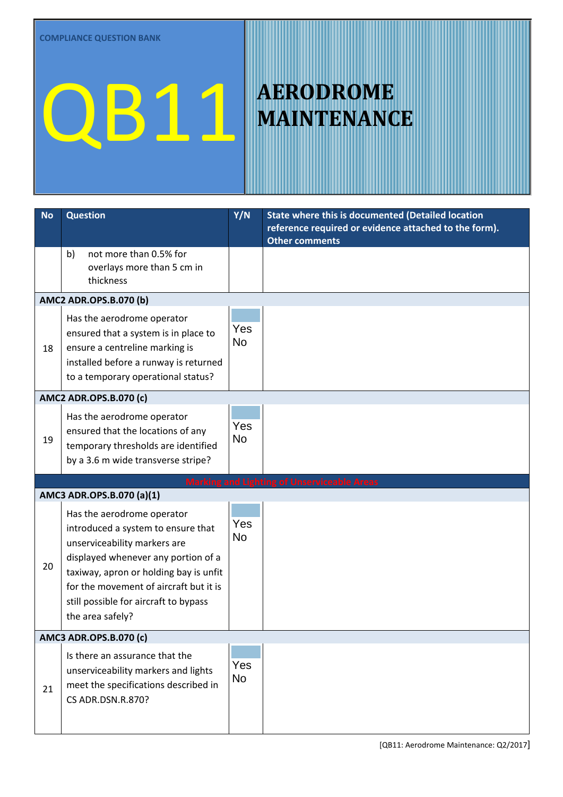| <b>No</b> | <b>Question</b>                                                                                                                                                                                                                                                                          | Y/N              | <b>State where this is documented (Detailed location</b><br>reference required or evidence attached to the form).<br><b>Other comments</b> |  |  |
|-----------|------------------------------------------------------------------------------------------------------------------------------------------------------------------------------------------------------------------------------------------------------------------------------------------|------------------|--------------------------------------------------------------------------------------------------------------------------------------------|--|--|
|           | not more than 0.5% for<br>b)<br>overlays more than 5 cm in<br>thickness                                                                                                                                                                                                                  |                  |                                                                                                                                            |  |  |
|           | AMC2 ADR.OPS.B.070 (b)                                                                                                                                                                                                                                                                   |                  |                                                                                                                                            |  |  |
| 18        | Has the aerodrome operator<br>ensured that a system is in place to<br>ensure a centreline marking is<br>installed before a runway is returned<br>to a temporary operational status?                                                                                                      | Yes<br><b>No</b> |                                                                                                                                            |  |  |
|           | AMC2 ADR.OPS.B.070 (c)                                                                                                                                                                                                                                                                   |                  |                                                                                                                                            |  |  |
| 19        | Has the aerodrome operator<br>ensured that the locations of any<br>temporary thresholds are identified<br>by a 3.6 m wide transverse stripe?                                                                                                                                             | Yes<br><b>No</b> |                                                                                                                                            |  |  |
|           | AMC3 ADR.OPS.B.070 (a)(1)                                                                                                                                                                                                                                                                |                  | <b>Marking and Lighting of Unserviceable Areas</b>                                                                                         |  |  |
| 20        | Has the aerodrome operator<br>introduced a system to ensure that<br>unserviceability markers are<br>displayed whenever any portion of a<br>taxiway, apron or holding bay is unfit<br>for the movement of aircraft but it is<br>still possible for aircraft to bypass<br>the area safely? | Yes<br><b>No</b> |                                                                                                                                            |  |  |
|           | AMC3 ADR.OPS.B.070 (c)                                                                                                                                                                                                                                                                   |                  |                                                                                                                                            |  |  |
| 21        | Is there an assurance that the<br>unserviceability markers and lights<br>meet the specifications described in<br>CS ADR.DSN.R.870?                                                                                                                                                       | Yes<br><b>No</b> |                                                                                                                                            |  |  |